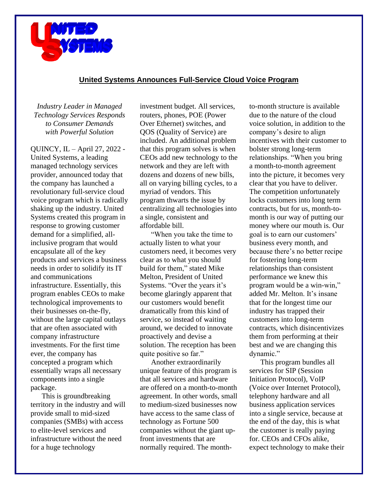

## **United Systems Announces Full-Service Cloud Voice Program**

*Industry Leader in Managed Technology Services Responds to Consumer Demands with Powerful Solution*

QUINCY, IL – April 27, 2022 - United Systems, a leading managed technology services provider, announced today that the company has launched a revolutionary full-service cloud voice program which is radically shaking up the industry. United Systems created this program in response to growing customer demand for a simplified, allinclusive program that would encapsulate all of the key products and services a business needs in order to solidify its IT and communications infrastructure. Essentially, this program enables CEOs to make technological improvements to their businesses on-the-fly, without the large capital outlays that are often associated with company infrastructure investments. For the first time ever, the company has concepted a program which essentially wraps all necessary components into a single package.

This is groundbreaking territory in the industry and will provide small to mid-sized companies (SMBs) with access to elite-level services and infrastructure without the need for a huge technology

investment budget. All services, routers, phones, POE (Power Over Ethernet) switches, and QOS (Quality of Service) are included. An additional problem that this program solves is when CEOs add new technology to the network and they are left with dozens and dozens of new bills, all on varying billing cycles, to a myriad of vendors. This program thwarts the issue by centralizing all technologies into a single, consistent and affordable bill.

"When you take the time to actually listen to what your customers need, it becomes very clear as to what you should build for them," stated Mike Melton, President of United Systems. "Over the years it's become glaringly apparent that our customers would benefit dramatically from this kind of service, so instead of waiting around, we decided to innovate proactively and devise a solution. The reception has been quite positive so far."

Another extraordinarily unique feature of this program is that all services and hardware are offered on a month-to-month agreement. In other words, small to medium-sized businesses now have access to the same class of technology as Fortune 500 companies without the giant upfront investments that are normally required. The monthto-month structure is available due to the nature of the cloud voice solution, in addition to the company's desire to align incentives with their customer to bolster strong long-term relationships. "When you bring a month-to-month agreement into the picture, it becomes very clear that you have to deliver. The competition unfortunately locks customers into long term contracts, but for us, month-tomonth is our way of putting our money where our mouth is. Our goal is to earn our customers' business every month, and because there's no better recipe for fostering long-term relationships than consistent performance we knew this program would be a win-win," added Mr. Melton. It's insane that for the longest time our industry has trapped their customers into long-term contracts, which disincentivizes them from performing at their best and we are changing this dynamic."

This program bundles all services for SIP (Session Initiation Protocol), VoIP (Voice over Internet Protocol), telephony hardware and all business application services into a single service, because at the end of the day, this is what the customer is really paying for. CEOs and CFOs alike, expect technology to make their